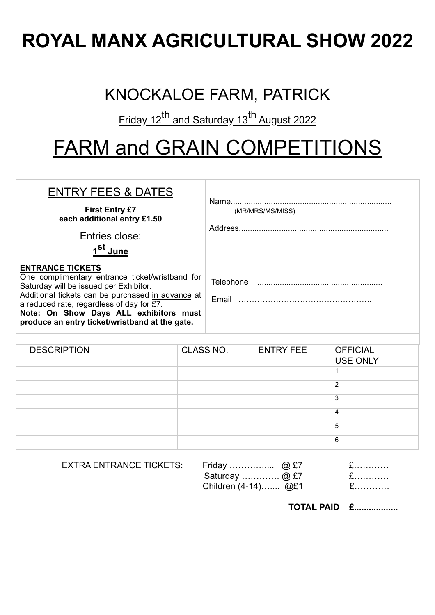## **ROYAL MANX AGRICULTURAL SHOW 2022**

## KNOCKALOE FARM, PATRICK

Friday 12<sup>th</sup> and Saturday 13<sup>th</sup> August 2022

## FARM and GRAIN COMPETITIONS

| <b>ENTRY FEES &amp; DATES</b>                                                                                                                                                                                                                                                                                                    |                  |                  |                  |                                    |  |  |
|----------------------------------------------------------------------------------------------------------------------------------------------------------------------------------------------------------------------------------------------------------------------------------------------------------------------------------|------------------|------------------|------------------|------------------------------------|--|--|
| <b>First Entry £7</b><br>each additional entry £1.50<br>Entries close:<br>1 <sup>St</sup> J <u>une</u>                                                                                                                                                                                                                           |                  | (MR/MRS/MS/MISS) |                  |                                    |  |  |
| <b>ENTRANCE TICKETS</b><br>One complimentary entrance ticket/wristband for<br>Saturday will be issued per Exhibitor.<br>Additional tickets can be purchased in advance at<br>a reduced rate, regardless of day for $\overline{27}$ .<br>Note: On Show Days ALL exhibitors must<br>produce an entry ticket/wristband at the gate. |                  |                  |                  |                                    |  |  |
| <b>DESCRIPTION</b>                                                                                                                                                                                                                                                                                                               | <b>CLASS NO.</b> |                  | <b>ENTRY FEE</b> | <b>OFFICIAL</b><br><b>USE ONLY</b> |  |  |

| CLASS NO. | <b>ENTRY FEE</b> | <b>OFFICIAL</b><br><b>USE ONLY</b> |
|-----------|------------------|------------------------------------|
|           |                  |                                    |
|           |                  | 2                                  |
|           |                  | 3                                  |
|           |                  | 4                                  |
|           |                  | 5                                  |
|           |                  | 6                                  |
|           |                  |                                    |

EXTRA ENTRANCE TICKETS: Friday ………….... @ £7 £…………

Saturday ………….. @ £7 Children (4-14)….... @£1 £…………

|  |  |  | . |  |  |  |
|--|--|--|---|--|--|--|
|  |  |  |   |  |  |  |

**TOTAL PAID £..................**